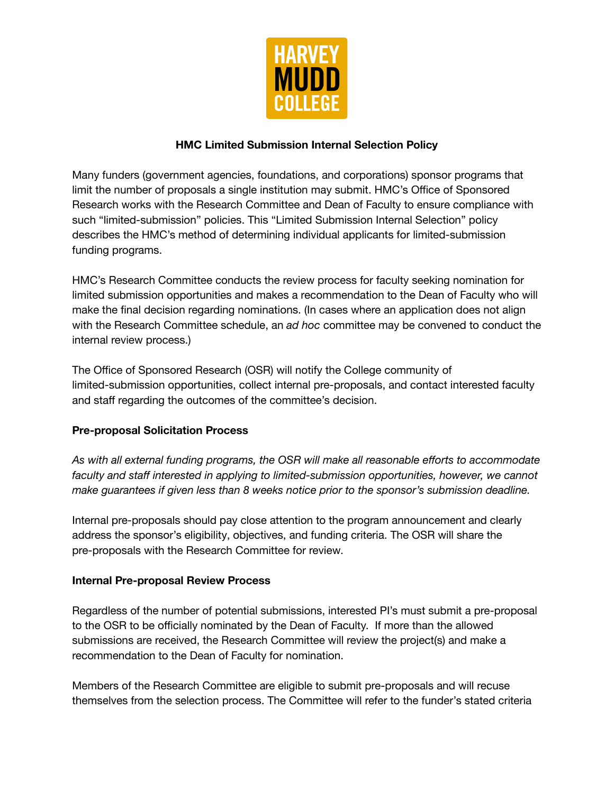

### **HMC Limited Submission Internal Selection Policy**

Many funders (government agencies, foundations, and corporations) sponsor programs that limit the number of proposals a single institution may submit. HMC's Office of Sponsored Research works with the Research Committee and Dean of Faculty to ensure compliance with such "limited-submission" policies. This "Limited Submission Internal Selection" policy describes the HMC's method of determining individual applicants for limited-submission funding programs.

HMC's Research Committee conducts the review process for faculty seeking nomination for limited submission opportunities and makes a recommendation to the Dean of Faculty who will make the final decision regarding nominations. (In cases where an application does not align with the Research Committee schedule, an *ad hoc* committee may be convened to conduct the internal review process.)

The Office of Sponsored Research (OSR) will notify the College community of limited-submission opportunities, collect internal pre-proposals, and contact interested faculty and staff regarding the outcomes of the committee's decision.

# **Pre-proposal Solicitation Process**

*As with all external funding programs, the OSR will make all reasonable efforts to accommodate faculty and staff interested in applying to limited-submission opportunities, however, we cannot make guarantees if given less than 8 weeks notice prior to the sponsor's submission deadline.*

Internal pre-proposals should pay close attention to the program announcement and clearly address the sponsor's eligibility, objectives, and funding criteria. The OSR will share the pre-proposals with the Research Committee for review.

#### **Internal Pre-proposal Review Process**

Regardless of the number of potential submissions, interested PI's must submit a pre-proposal to the OSR to be officially nominated by the Dean of Faculty. If more than the allowed submissions are received, the Research Committee will review the project(s) and make a recommendation to the Dean of Faculty for nomination.

Members of the Research Committee are eligible to submit pre-proposals and will recuse themselves from the selection process. The Committee will refer to the funder's stated criteria